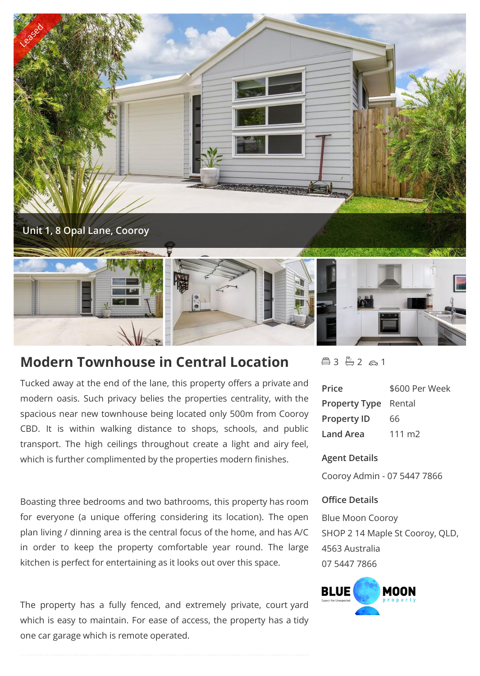

# **Modern Townhouse in Central Location**

Tucked away at the end of the lane, this property offers a private and modern oasis. Such privacy belies the properties centrality, with the spacious near new townhouse being located only 500m from Cooroy CBD. It is within walking distance to shops, schools, and public transport. The high ceilings throughout create a light and airy feel, which is further complimented by the properties modern finishes.

Boasting three bedrooms and two bathrooms, this property has room for everyone (a unique offering considering its location). The open plan living / dinning area is the central focus of the home, and has A/C in order to keep the property comfortable year round. The large kitchen is perfect for entertaining as it looks out over this space.

The property has a fully fenced, and extremely private, court yard which is easy to maintain. For ease of access, the property has a tidy one car garage which is remote operated.

 $43 - 2 61$ 

| Price                       | \$600 Per Week  |
|-----------------------------|-----------------|
| <b>Property Type Rental</b> |                 |
| <b>Property ID</b>          | 66              |
| Land Area                   | $111 \text{ m}$ |

# **Agent Details**

Cooroy Admin - 07 5447 7866

# **Office Details**

Blue Moon Cooroy SHOP 2 14 Maple St Cooroy, QLD, 4563 Australia 07 5447 7866